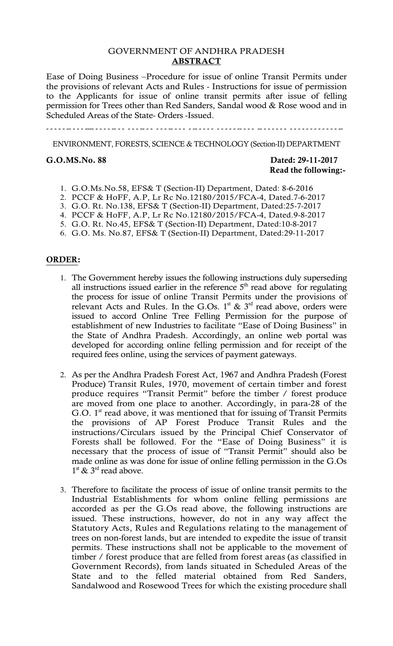## GOVERNMENT OF ANDHRA PRADESH **ABSTRACT**

Ease of Doing Business –Procedure for issue of online Transit Permits under the provisions of relevant Acts and Rules - Instructions for issue of permission to the Applicants for issue of online transit permits after issue of felling permission for Trees other than Red Sanders, Sandal wood & Rose wood and in Scheduled Areas of the State- Orders -Issued.

ENVIRONMENT, FORESTS, SCIENCE & TECHNOLOGY (Section-II) DEPARTMENT

# **G.O.MS.No. 88 Dated: 29-11-2017 Read the following:-**

- 1. G.O.Ms.No.58, EFS& T (Section-II) Department, Dated: 8-6-2016
- 2. PCCF & HoFF, A.P, Lr Rc No.12180/2015/FCA-4, Dated.7-6-2017
- 3. G.O. Rt. No.138, EFS& T (Section-II) Department, Dated:25-7-2017

4. PCCF & HoFF, A.P, Lr Rc No.12180/2015/FCA-4, Dated.9-8-2017

5. G.O. Rt. No.45, EFS& T (Section-II) Department, Dated:10-8-2017

6. G.O. Ms. No.87, EFS& T (Section-II) Department, Dated:29-11-2017

#### **ORDER:**

- 1. The Government hereby issues the following instructions duly superseding all instructions issued earlier in the reference  $5<sup>th</sup>$  read above for regulating the process for issue of online Transit Permits under the provisions of relevant Acts and Rules. In the G.Os.  $1<sup>st</sup>$  &  $3<sup>rd</sup>$  read above, orders were issued to accord Online Tree Felling Permission for the purpose of establishment of new Industries to facilitate "Ease of Doing Business" in the State of Andhra Pradesh. Accordingly, an online web portal was developed for according online felling permission and for receipt of the required fees online, using the services of payment gateways.
- 2. As per the Andhra Pradesh Forest Act, 1967 and Andhra Pradesh (Forest Produce) Transit Rules, 1970, movement of certain timber and forest produce requires "Transit Permit" before the timber / forest produce are moved from one place to another. Accordingly, in para-28 of the G.O.  $1<sup>st</sup>$  read above, it was mentioned that for issuing of Transit Permits the provisions of AP Forest Produce Transit Rules and the instructions/Circulars issued by the Principal Chief Conservator of Forests shall be followed. For the "Ease of Doing Business" it is necessary that the process of issue of "Transit Permit" should also be made online as was done for issue of online felling permission in the G.Os  $1^{\text{st}}$  &  $3^{\text{rd}}$  read above.
- 3. Therefore to facilitate the process of issue of online transit permits to the Industrial Establishments for whom online felling permissions are accorded as per the G.Os read above, the following instructions are issued. These instructions, however, do not in any way affect the Statutory Acts, Rules and Regulations relating to the management of trees on non-forest lands, but are intended to expedite the issue of transit permits. These instructions shall not be applicable to the movement of timber / forest produce that are felled from forest areas (as classified in Government Records), from lands situated in Scheduled Areas of the State and to the felled material obtained from Red Sanders, Sandalwood and Rosewood Trees for which the existing procedure shall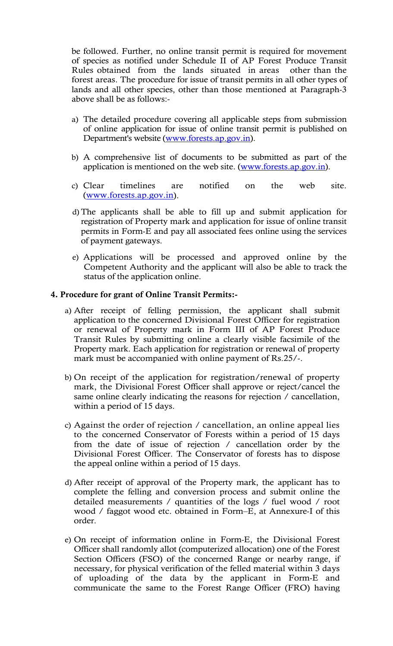be followed. Further, no online transit permit is required for movement of species as notified under Schedule II of AP Forest Produce Transit Rules obtained from the lands situated in areas other than the forest areas. The procedure for issue of transit permits in all other types of lands and all other species, other than those mentioned at Paragraph-3 above shall be as follows:-

- a) The detailed procedure covering all applicable steps from submission of online application for issue of online transit permit is published on Department's website (www.forests.ap.gov.in).
- b) A comprehensive list of documents to be submitted as part of the application is mentioned on the web site. (www.forests.ap.gov.in).
- c) Clear timelines are notified on the web site. (www.forests.ap.gov.in).
- d) The applicants shall be able to fill up and submit application for registration of Property mark and application for issue of online transit permits in Form-E and pay all associated fees online using the services of payment gateways.
- e) Applications will be processed and approved online by the Competent Authority and the applicant will also be able to track the status of the application online.

## **4. Procedure for grant of Online Transit Permits:-**

- a) After receipt of felling permission, the applicant shall submit application to the concerned Divisional Forest Officer for registration or renewal of Property mark in Form III of AP Forest Produce Transit Rules by submitting online a clearly visible facsimile of the Property mark. Each application for registration or renewal of property mark must be accompanied with online payment of Rs.25/-.
- b) On receipt of the application for registration/renewal of property mark, the Divisional Forest Officer shall approve or reject/cancel the same online clearly indicating the reasons for rejection / cancellation, within a period of 15 days.
- c) Against the order of rejection / cancellation, an online appeal lies to the concerned Conservator of Forests within a period of 15 days from the date of issue of rejection / cancellation order by the Divisional Forest Officer. The Conservator of forests has to dispose the appeal online within a period of 15 days.
- d) After receipt of approval of the Property mark, the applicant has to complete the felling and conversion process and submit online the detailed measurements / quantities of the logs / fuel wood / root wood / faggot wood etc. obtained in Form–E, at Annexure-I of this order.
- e) On receipt of information online in Form-E, the Divisional Forest Officer shall randomly allot (computerized allocation) one of the Forest Section Officers (FSO) of the concerned Range or nearby range, if necessary, for physical verification of the felled material within 3 days of uploading of the data by the applicant in Form-E and communicate the same to the Forest Range Officer (FRO) having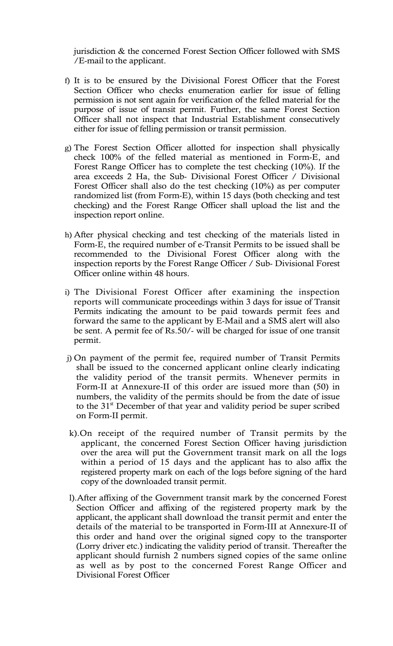jurisdiction & the concerned Forest Section Officer followed with SMS /E-mail to the applicant.

- f) It is to be ensured by the Divisional Forest Officer that the Forest Section Officer who checks enumeration earlier for issue of felling permission is not sent again for verification of the felled material for the purpose of issue of transit permit. Further, the same Forest Section Officer shall not inspect that Industrial Establishment consecutively either for issue of felling permission or transit permission.
- g) The Forest Section Officer allotted for inspection shall physically check 100% of the felled material as mentioned in Form-E, and Forest Range Officer has to complete the test checking (10%). If the area exceeds 2 Ha, the Sub- Divisional Forest Officer / Divisional Forest Officer shall also do the test checking (10%) as per computer randomized list (from Form-E), within 15 days (both checking and test checking) and the Forest Range Officer shall upload the list and the inspection report online.
- h) After physical checking and test checking of the materials listed in Form-E, the required number of e-Transit Permits to be issued shall be recommended to the Divisional Forest Officer along with the inspection reports by the Forest Range Officer / Sub- Divisional Forest Officer online within 48 hours.
- i) The Divisional Forest Officer after examining the inspection reports will communicate proceedings within 3 days for issue of Transit Permits indicating the amount to be paid towards permit fees and forward the same to the applicant by E-Mail and a SMS alert will also be sent. A permit fee of Rs.50/- will be charged for issue of one transit permit.
- j) On payment of the permit fee, required number of Transit Permits shall be issued to the concerned applicant online clearly indicating the validity period of the transit permits. Whenever permits in Form-II at Annexure-II of this order are issued more than (50) in numbers, the validity of the permits should be from the date of issue to the  $31<sup>st</sup>$  December of that year and validity period be super scribed on Form-II permit.
- k).On receipt of the required number of Transit permits by the applicant, the concerned Forest Section Officer having jurisdiction over the area will put the Government transit mark on all the logs within a period of 15 days and the applicant has to also affix the registered property mark on each of the logs before signing of the hard copy of the downloaded transit permit.
- l).After affixing of the Government transit mark by the concerned Forest Section Officer and affixing of the registered property mark by the applicant, the applicant shall download the transit permit and enter the details of the material to be transported in Form-III at Annexure-II of this order and hand over the original signed copy to the transporter (Lorry driver etc.) indicating the validity period of transit. Thereafter the applicant should furnish 2 numbers signed copies of the same online as well as by post to the concerned Forest Range Officer and Divisional Forest Officer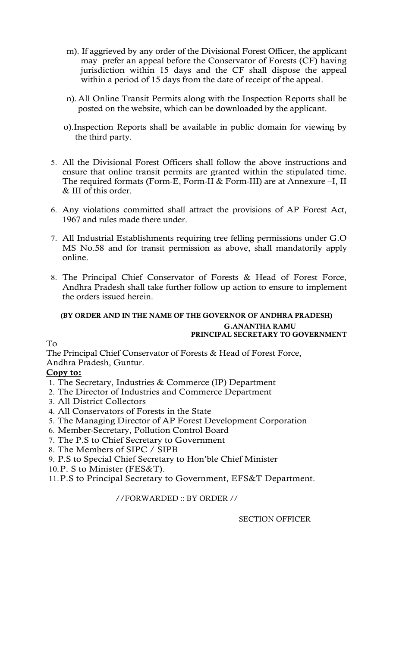- m). If aggrieved by any order of the Divisional Forest Officer, the applicant may prefer an appeal before the Conservator of Forests (CF) having jurisdiction within 15 days and the CF shall dispose the appeal within a period of 15 days from the date of receipt of the appeal.
- n). All Online Transit Permits along with the Inspection Reports shall be posted on the website, which can be downloaded by the applicant.
- o).Inspection Reports shall be available in public domain for viewing by the third party.
- 5. All the Divisional Forest Officers shall follow the above instructions and ensure that online transit permits are granted within the stipulated time. The required formats (Form-E, Form-II & Form-III) are at Annexure –I, II & III of this order.
- 6. Any violations committed shall attract the provisions of AP Forest Act, 1967 and rules made there under.
- 7. All Industrial Establishments requiring tree felling permissions under G.O MS No.58 and for transit permission as above, shall mandatorily apply online.
- 8. The Principal Chief Conservator of Forests & Head of Forest Force, Andhra Pradesh shall take further follow up action to ensure to implement the orders issued herein.

# **(BY ORDER AND IN THE NAME OF THE GOVERNOR OF ANDHRA PRADESH) G.ANANTHA RAMU PRINCIPAL SECRETARY TO GOVERNMENT**

# To

The Principal Chief Conservator of Forests & Head of Forest Force, Andhra Pradesh, Guntur.

# **Copy to:**

- 1. The Secretary, Industries & Commerce (IP) Department
- 2. The Director of Industries and Commerce Department
- 3. All District Collectors
- 4. All Conservators of Forests in the State
- 5. The Managing Director of AP Forest Development Corporation
- 6. Member-Secretary, Pollution Control Board
- 7. The P.S to Chief Secretary to Government
- 8. The Members of SIPC / SIPB
- 9. P.S to Special Chief Secretary to Hon'ble Chief Minister
- 10.P. S to Minister (FES&T).

11.P.S to Principal Secretary to Government, EFS&T Department.

//FORWARDED :: BY ORDER //

SECTION OFFICER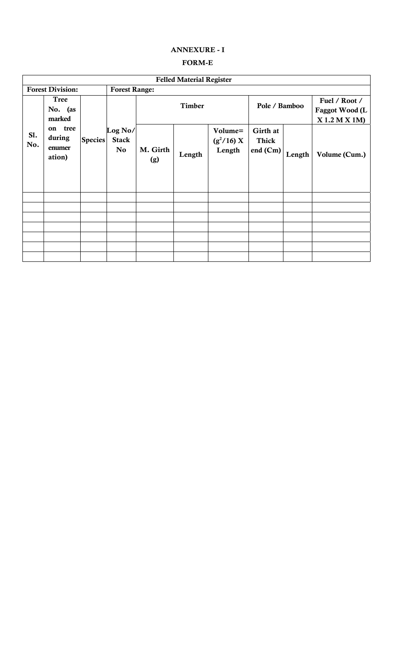## **ANNEXURE - I**

#### **FORM-E**

| <b>Felled Material Register</b> |                                          |                |                                           |                 |        |                                   |                                        |        |                                                   |
|---------------------------------|------------------------------------------|----------------|-------------------------------------------|-----------------|--------|-----------------------------------|----------------------------------------|--------|---------------------------------------------------|
| <b>Forest Division:</b>         |                                          |                | <b>Forest Range:</b>                      |                 |        |                                   |                                        |        |                                                   |
|                                 | <b>Tree</b><br>No. (as<br>marked         | <b>Species</b> | Log No/<br><b>Stack</b><br>N <sub>o</sub> | <b>Timber</b>   |        |                                   | Pole / Bamboo                          |        | Fuel / Root /<br>Faggot Wood (L<br>$X1.2$ M X 1M) |
| Sl.<br>No.                      | tree<br>on<br>during<br>enumer<br>ation) |                |                                           | M. Girth<br>(g) | Length | Volume=<br>$(g^2/16) X$<br>Length | Girth at<br><b>Thick</b><br>end $(Cm)$ | Length | Volume (Cum.)                                     |
|                                 |                                          |                |                                           |                 |        |                                   |                                        |        |                                                   |
|                                 |                                          |                |                                           |                 |        |                                   |                                        |        |                                                   |
|                                 |                                          |                |                                           |                 |        |                                   |                                        |        |                                                   |
|                                 |                                          |                |                                           |                 |        |                                   |                                        |        |                                                   |
|                                 |                                          |                |                                           |                 |        |                                   |                                        |        |                                                   |
|                                 |                                          |                |                                           |                 |        |                                   |                                        |        |                                                   |
|                                 |                                          |                |                                           |                 |        |                                   |                                        |        |                                                   |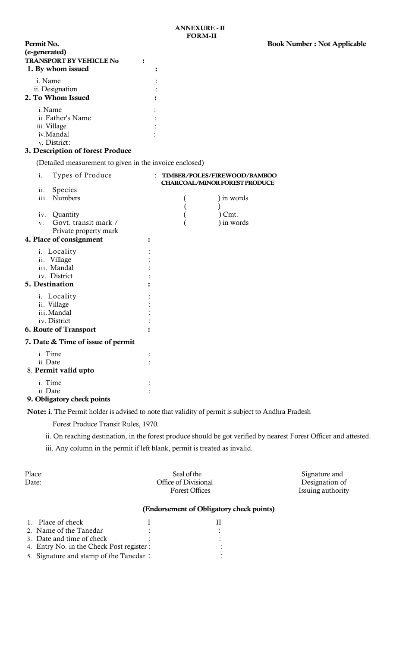## **3. Description of forest Produce**

(Detailed measurement to given in the invoice enclosed)

| i.<br>Types of Produce                           | TIMBER/POLES/FIREWOOD/BAMBOO<br><b>CHARCOAL/MINOR FOREST PRODUCE</b> |            |  |  |
|--------------------------------------------------|----------------------------------------------------------------------|------------|--|--|
| ii.<br>Species                                   |                                                                      |            |  |  |
| iii.<br>Numbers                                  |                                                                      | ) in words |  |  |
|                                                  |                                                                      |            |  |  |
| iv. Quantity                                     |                                                                      | Cmt.       |  |  |
| Govt. transit mark /<br>$V_{-}$                  |                                                                      | ) in words |  |  |
| Private property mark<br>4. Place of consignment |                                                                      |            |  |  |
|                                                  |                                                                      |            |  |  |
| i. Locality                                      |                                                                      |            |  |  |
| ii. Village                                      |                                                                      |            |  |  |
| iii. Mandal                                      |                                                                      |            |  |  |
| iv. District                                     |                                                                      |            |  |  |
| 5. Destination                                   |                                                                      |            |  |  |
| i. Locality                                      |                                                                      |            |  |  |
| ii. Village                                      |                                                                      |            |  |  |
| iii. Mandal                                      |                                                                      |            |  |  |
| iv. District                                     |                                                                      |            |  |  |
| 6. Route of Transport                            |                                                                      |            |  |  |
| 7. Date & Time of issue of permit                |                                                                      |            |  |  |
| i. Time                                          |                                                                      |            |  |  |
| ii. Date                                         |                                                                      |            |  |  |
| 8. Permit valid upto                             |                                                                      |            |  |  |
| i. Time                                          |                                                                      |            |  |  |
| ii. Date                                         |                                                                      |            |  |  |
|                                                  |                                                                      |            |  |  |

#### **9. Obligatory check points**

**Note: i**. The Permit holder is advised to note that validity of permit is subject to Andhra Pradesh

Forest Produce Transit Rules, 1970.

ii. On reaching destination, in the forest produce should be got verified by nearest Forest Officer and attested.

iii. Any column in the permit if left blank, permit is treated as invalid.

| Place:<br>Date: | Seal of the<br>Office of Divisional<br><b>Forest Offices</b> | Signature and<br>Designation of<br>Issuing authority |
|-----------------|--------------------------------------------------------------|------------------------------------------------------|
|                 |                                                              |                                                      |

## **(Endorsement of Obligatory check points)**

| 1. Place of check                         |  |
|-------------------------------------------|--|
| 2. Name of the Tanedar                    |  |
| 3. Date and time of check                 |  |
| 4. Entry No. in the Check Post register : |  |
| 5. Signature and stamp of the Tanedar :   |  |